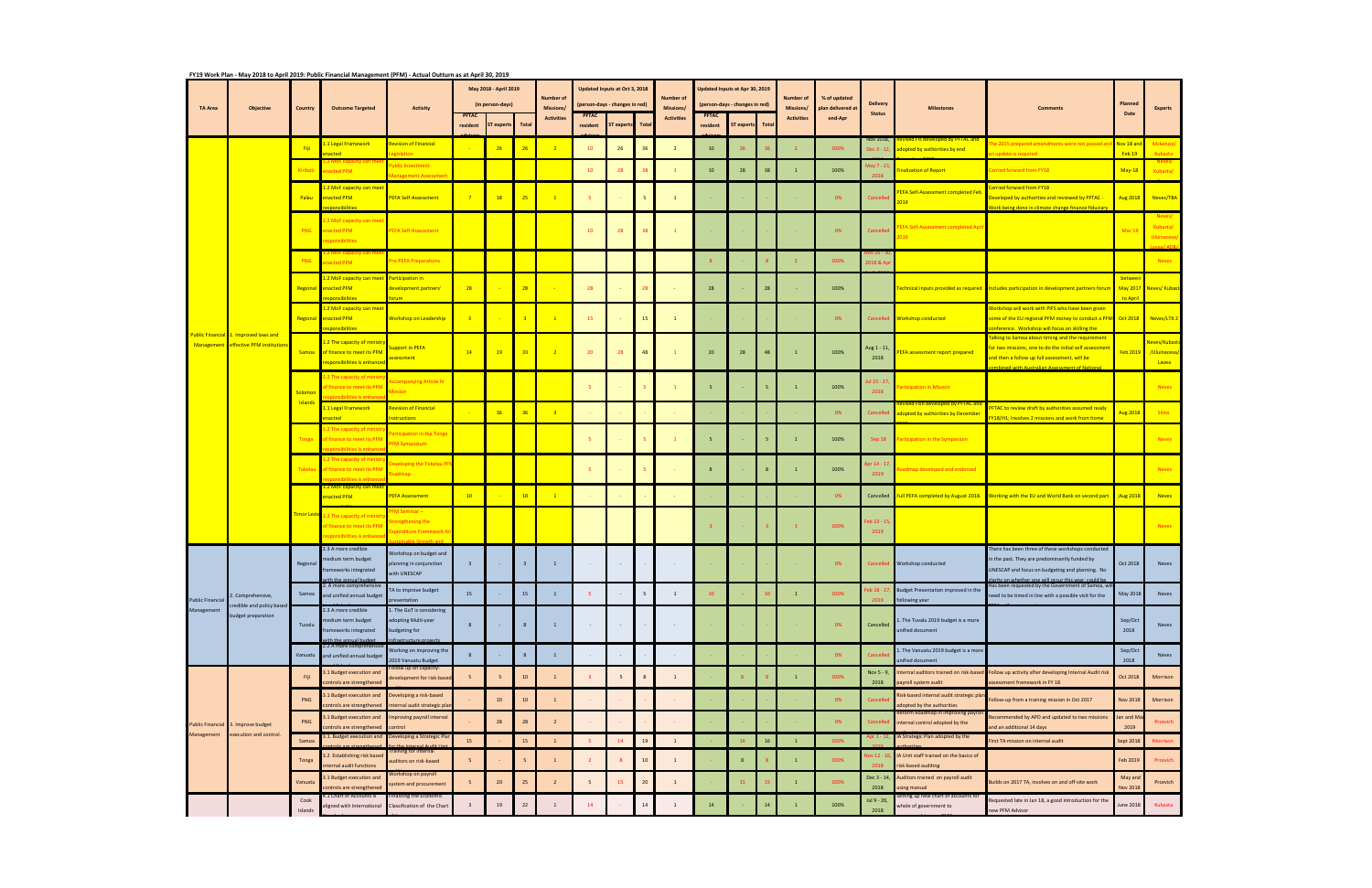|                                                  |                                                                                |                           | FY19 Work Plan - May 2018 to April 2019: Public Financial Management (PFM) - Actual Outturn as at April 30, 2019 |                                                          |                                           |            |                  |                                |                                                                        |                                   |                 |                                |                                                                  |            |      |                                |                              |                          |                                                                                                |                                                                                                                                                           | Planned             |                              |
|--------------------------------------------------|--------------------------------------------------------------------------------|---------------------------|------------------------------------------------------------------------------------------------------------------|----------------------------------------------------------|-------------------------------------------|------------|------------------|--------------------------------|------------------------------------------------------------------------|-----------------------------------|-----------------|--------------------------------|------------------------------------------------------------------|------------|------|--------------------------------|------------------------------|--------------------------|------------------------------------------------------------------------------------------------|-----------------------------------------------------------------------------------------------------------------------------------------------------------|---------------------|------------------------------|
|                                                  |                                                                                | Country                   | <b>Outcome Targeted</b>                                                                                          | <b>Activity</b>                                          | May 2018 - April 2019<br>(in person-days) |            |                  | <b>Number of</b>               | <b>Updated Inputs at Oct 3, 2018</b><br>(person-days - changes in red) |                                   |                 | <b>Number of</b>               | Jpdated Inputs at Apr 30, 2019<br>(person-days - changes in red) |            |      | <b>Number of</b>               | % of updated                 | <b>Delivery</b>          |                                                                                                |                                                                                                                                                           |                     |                              |
| <b>TA Area</b>                                   | <b>Objective</b>                                                               |                           |                                                                                                                  |                                                          | <b>PFTAC</b><br>resident                  | ST experts | <b>Total</b>     | Missions/<br><b>Activities</b> | <b>PFTAC</b><br>resident                                               | <b>Total</b><br><b>ST experts</b> |                 | Missions/<br><b>Activities</b> | <b>PFTAC</b><br>resident                                         | ST experts | Tota | Missions/<br><b>Activities</b> | plan delivered at<br>end-Apr | <b>Status</b>            | <b>Milestones</b>                                                                              | <b>Comments</b>                                                                                                                                           | Date                | <b>Experts</b>               |
|                                                  |                                                                                | Fiji                      | 1 Legal Framework                                                                                                | <b>Revision of Financial</b>                             |                                           | 26         | 26               |                                | 10                                                                     | 26                                | 36              | $\overline{2}$                 | 10                                                               |            |      |                                | 100%                         | Nov 2018,<br>Dec 3 - 12, | vised Fls developed by PFTAC an<br>dopted by authorities by end                                | e 2015 prepared amendments were not passed ar                                                                                                             | Nov 18 and          | Mckenzie/                    |
|                                                  |                                                                                | Kiribati                  | acted<br>nacted PFM                                                                                              | rislation<br>ublic Investment                            |                                           |            |                  |                                | 10                                                                     | 28                                | 38              |                                | 10                                                               | 28         | 38   |                                | 100%                         | Aay 7 - 21,              | inalization of Report                                                                          | undate is required<br>arried forward from FY18                                                                                                            | Feb 19<br>$May-18$  | Kubasta<br>Kubasta/          |
|                                                  |                                                                                |                           | 2 MoF capacity can mee                                                                                           | anagement Assessn                                        |                                           |            |                  |                                |                                                                        |                                   |                 |                                |                                                                  |            |      |                                |                              |                          |                                                                                                | arried forward from FY18                                                                                                                                  |                     |                              |
|                                                  |                                                                                | Palau                     | enacted PFM<br>nonsihilitie:                                                                                     | <b>PEFA Self-Assessment</b>                              | $\overline{7}$                            | 18         | 25               | $\mathbf{1}$                   | 5 <sub>1</sub>                                                         |                                   | 5               | $\overline{1}$                 |                                                                  |            |      |                                | 0%                           | Cancellec                | <b>EFA Self-Assessment completed Feb</b><br>019                                                | Developed by authorities and reviewed by PFTAC -<br>Work being done in climate change finance fiduciary                                                   | <b>Aug 2018</b>     | Neves/TBA                    |
|                                                  |                                                                                | PNG                       | .2 MoF capacity can me<br>nacted PFM                                                                             | <b>EFA Self-Assessment</b>                               |                                           |            |                  |                                | 10                                                                     | 28                                |                 |                                |                                                                  |            |      |                                | 0%                           | Cancelled                | <b>EFA Self-Assessment completed Apr</b>                                                       |                                                                                                                                                           | Mar 19              | Neves/<br>Kubasta/           |
|                                                  |                                                                                |                           | sponsibilities                                                                                                   |                                                          |                                           |            |                  |                                |                                                                        |                                   |                 |                                |                                                                  |            |      |                                |                              |                          | 019                                                                                            |                                                                                                                                                           |                     | <b>Uluinaceva</b>            |
|                                                  |                                                                                | <b>PNG</b>                | <b>Phacted PFM</b>                                                                                               | re-PEFA Preparations                                     |                                           |            |                  |                                |                                                                        |                                   |                 |                                |                                                                  |            |      |                                | 100%                         | 018 & Ap                 |                                                                                                |                                                                                                                                                           |                     | <b>Neves</b>                 |
|                                                  |                                                                                | Regional                  | <b>L.2 MoF capacity can meet</b><br>enacted PFM                                                                  | <b>Participation in</b><br>development partners'         | 28                                        |            | 28               |                                | 28                                                                     |                                   | 28              |                                | 28                                                               |            | 28   |                                | 100%                         |                          |                                                                                                | echnical inputs provided as required Includes participation in development partners forum                                                                 | betwee<br>May 2017  | <mark>Neves/ Kubast</mark> a |
|                                                  |                                                                                |                           | noncibilitia<br>L.2 MoF capacity can meet                                                                        |                                                          |                                           |            |                  |                                |                                                                        |                                   |                 |                                |                                                                  |            |      |                                |                              |                          |                                                                                                | Workshop will work with PIFS who have been given                                                                                                          | to Apri             |                              |
|                                                  |                                                                                |                           | Regional enacted PFM<br>nonsibilities                                                                            | <b>Workshop on Leadership</b>                            | $\overline{\mathbf{3}}$                   |            | $\overline{3}$   | $\mathbf{1}$                   | 15                                                                     |                                   | 15              | $\overline{1}$                 |                                                                  |            |      |                                | 0%                           | Cancelled                | <b>Workshop conducted</b>                                                                      | some of the EU regional PFM money to conduct a PFM Oct 2018<br>Inference. Workshop will focus on skilling the                                             |                     | Neves/LTX 2                  |
|                                                  | Public Financial 1. Improved laws and<br>Management effective PFM institutions | Samoa                     | 2 The capacity of ministr<br>of finance to meet its PFM                                                          | upport in PEFA                                           | 14                                        | 19         | 33               | $\overline{2}$                 | 20                                                                     |                                   | 48              |                                | 20                                                               | 28         | 48   |                                | 100%                         | Aug 1 - 11,              | <b>EFA assessment report prepared</b>                                                          | Talking to Samoa about timing and the requirement<br>or two missions, one to do the initial self assessment                                               | <b>Feb 2019</b>     | leves/Kubasta<br>/Uluinaceva |
|                                                  |                                                                                |                           | esponsibilities is enhanced                                                                                      | ssessment                                                |                                           |            |                  |                                |                                                                        |                                   |                 |                                |                                                                  |            |      |                                |                              | 2018                     |                                                                                                | and then a follow up full assessment, will be<br>nbined with Australian Assessment of National                                                            |                     | Lavea                        |
|                                                  |                                                                                | Solomon<br><b>Islands</b> | 2 The capacity of minist<br>f finance to meet its PFM                                                            | <b>Impanying Article IV</b><br><b>Aission</b>            |                                           |            |                  |                                | -5.                                                                    |                                   |                 |                                | 5                                                                |            |      |                                | 100%                         | ul 23 - 27,<br>2018      | articipation in Mission                                                                        |                                                                                                                                                           |                     | <b>Neves</b>                 |
|                                                  |                                                                                |                           | 1.1 Legal Framework                                                                                              | <b>Revision of Financial</b>                             |                                           |            |                  |                                |                                                                        |                                   |                 |                                |                                                                  |            |      |                                |                              |                          | <mark>vised Fish developed by PFTA</mark>                                                      | PFTAC to review draft by authorities assumed ready                                                                                                        |                     |                              |
|                                                  |                                                                                |                           | <b>nacted</b><br>.2 The capacity of minist                                                                       | <b>structions</b>                                        |                                           | 36         | 36               | $\overline{\mathbf{3}}$        |                                                                        |                                   |                 |                                |                                                                  |            |      |                                | 0%                           | Cancelled                | adopted by authorities by December                                                             | Y18/H1; Involves 2 missions and work from home                                                                                                            | <b>Aug 2018</b>     | <b>Silins</b>                |
|                                                  |                                                                                | Tonga                     | of finance to meet its PFM                                                                                       | articipation in the Tonga<br><b>FM Symposium</b>         |                                           |            |                  |                                | - 5                                                                    |                                   |                 |                                | 5                                                                |            |      |                                | 100%                         | Sep 18                   | articipation in the Symposium                                                                  |                                                                                                                                                           |                     | <b>Neves</b>                 |
|                                                  |                                                                                | Tokelau                   | .2 The capacity of minist<br>of finance to meet its PFM                                                          | eveloping the Tokelau P<br>admap                         |                                           |            |                  |                                | -5                                                                     |                                   |                 |                                | 8                                                                |            |      |                                | 100%                         | pr 14 - 17,<br>2019      | admap developed and endorsed                                                                   |                                                                                                                                                           |                     | Neves                        |
|                                                  |                                                                                |                           | <mark>.2 MoF capacity can me</mark><br>enacted PFM                                                               | <b>PEFA Assessment</b>                                   | 10                                        |            | 10               | $\mathbf{1}$                   |                                                                        |                                   |                 |                                |                                                                  |            |      |                                | 0%                           |                          |                                                                                                | Cancelled Full PEFA completed by August 2018. Working with the EU and World Bank on second part ;Aug 2018                                                 |                     | <b>Neves</b>                 |
|                                                  |                                                                                |                           | Fimor Leste 1.2 The capacity of minis                                                                            | M Seminar -<br>trengthening the                          |                                           |            |                  |                                |                                                                        |                                   |                 |                                |                                                                  |            |      |                                |                              | eb 13 - 15               |                                                                                                |                                                                                                                                                           |                     |                              |
|                                                  |                                                                                |                           | of finance to meet its PFM<br>ibilities is enhand                                                                | xpenditure Framework fo                                  |                                           |            |                  |                                |                                                                        |                                   |                 |                                |                                                                  |            |      |                                | 100%                         | 2019                     |                                                                                                |                                                                                                                                                           |                     | <b>Neves</b>                 |
|                                                  |                                                                                | Regional                  | 2.3 A more credible<br>medium term budget                                                                        | Norkshop on budget and                                   |                                           |            |                  |                                |                                                                        |                                   |                 |                                |                                                                  |            |      |                                |                              |                          |                                                                                                | There has been three of these workshops conducted                                                                                                         |                     |                              |
|                                                  |                                                                                |                           | frameworks integrated<br>ith the annual budget                                                                   | planning in conjunction<br>with UNESCAP                  | $\overline{\mathbf{3}}$                   |            | 3                |                                |                                                                        |                                   |                 |                                |                                                                  |            |      |                                | 0%                           |                          | Cancelled Workshop conducted                                                                   | in the past. They are predominantly funded by<br>UNESCAP and focus on budgeting and planning. No<br>clarity on whether one will occur this year, could be | Oct 2018            | Neves                        |
| <b>Public Financial</b>                          | . Comprehensive,                                                               | Samoa                     | 2. A more comprenensive<br>and unified annual budget                                                             | TA to improve budget<br>presentation                     | 15                                        |            | 15               | $\mathbf{1}$                   | 5 <sub>1</sub>                                                         |                                   | $5\overline{5}$ | 1                              | 10                                                               |            |      | $\overline{1}$                 | 100%                         | eb 18 - 27,              | Budget Presentation improved in the<br>following year                                          | Has been requested by the Government of Samoa, w<br>need to be timed in line with a possible visit for the                                                | May 2018            | Neves                        |
| Management                                       | credible and policy based<br>budget preparation                                |                           | 2.3 A more credible<br>nedium term budget                                                                        | 1. The GoT is considering<br>dopting Multi-year          |                                           |            |                  |                                |                                                                        |                                   |                 |                                |                                                                  |            |      |                                |                              |                          | 1. The Tuvalu 2019 budget is a more                                                            |                                                                                                                                                           | Sep/Oct             |                              |
|                                                  |                                                                                | Tuvalu                    | rameworks integrated<br>ith the annual budget                                                                    | oudgeting for<br>ofrastructure projects                  | 8                                         |            | 8                | $\mathbf{1}$                   | $\sim$                                                                 |                                   |                 |                                |                                                                  |            |      |                                | 0%                           | Cancelled                | unified document                                                                               |                                                                                                                                                           | 2018                | Neves                        |
|                                                  |                                                                                | Vanuatu                   | 2.2 A more comprehensi<br>and unified annual budget                                                              | Vorking on improving the<br>2019 Vanuatu Budget          | 8                                         |            | 8                | $\mathbf{1}$                   |                                                                        |                                   |                 |                                |                                                                  |            |      |                                | 0%                           | Cancelle                 | 1. The Vanuatu 2019 budget is a more<br>unified document                                       |                                                                                                                                                           | Sep/Oct<br>2018     | Neves                        |
|                                                  |                                                                                | Fiji                      | 1.1 Budget execution and<br>ontrols are strengthened                                                             | ollow up on capacity-<br>development for risk-baser      | 5                                         |            | 10               | $\mathbf{1}$                   |                                                                        |                                   | 8               | $\mathbf{1}$                   |                                                                  |            |      |                                | 100%                         | Nov 5 - 9,<br>2018       | nternal auditors trained on risk-based<br>payroll system audit                                 | Follow up activity after developing Internal Audit risk<br>assessment framework in FY 18                                                                  | Oct 2018            | Morrison                     |
|                                                  |                                                                                | PNG                       | 1.1 Budget execution and                                                                                         | Developing a risk-based                                  |                                           | 10         | 10 <sup>10</sup> | $\overline{1}$                 |                                                                        |                                   |                 |                                |                                                                  |            |      |                                | 0%                           | Cancelle                 | Risk-based internal audit strategic plan                                                       | Follow-up from a training mission in Oct 2017                                                                                                             | <b>Nov 2018</b>     | Morrison                     |
|                                                  |                                                                                | PNG                       | ontrols are strengthened<br>1.1 Budget execution and                                                             | nternal audit strategic pla<br>mproving payroll internal |                                           | 28         | 28               | $\overline{2}$                 |                                                                        |                                   |                 |                                |                                                                  |            |      |                                | 0%                           | Cancelled                | dopted by the authorities<br>eform Roadmap in improving pay<br>internal control adopted by the | ecommended by APD and updated to two missions                                                                                                             | an and Ma           | Prcevich                     |
| Public Financial 3. Improve budget<br>Management | execution and control.                                                         | Samoa                     | ontrols are strengthened<br>.1. Budget execution and                                                             | ontrol<br>Developing a Strategic Plar                    | 15                                        |            | 15               | $\mathbf{1}$                   |                                                                        |                                   | 19              | $\mathbf{1}$                   |                                                                  |            | 16   |                                | 100%                         |                          | IA Strategic Plan adopted by the                                                               | and an additional 14 days<br>irst TA mission on internal audit                                                                                            | 2019<br>Sept 2018   | <b>Morrison</b>              |
|                                                  |                                                                                |                           | .2 Establishing risk based                                                                                       | aining for internal                                      |                                           |            | 5                |                                |                                                                        |                                   | 10              |                                |                                                                  |            |      |                                |                              | ov 12 - 16               | IA Unit staff trained on the basics of                                                         |                                                                                                                                                           |                     |                              |
|                                                  |                                                                                | Tonga                     | ternal audit functions<br>1.1 Budget execution and                                                               | auditors on risk-based<br>prkshop on payroll             | 5                                         |            |                  |                                |                                                                        |                                   |                 | $\mathbf{1}$                   |                                                                  |            |      |                                | 100%                         | 2018<br>Dec 3 - 14,      | risk-based auditing<br>Auditors trained on payroll audit                                       |                                                                                                                                                           | Feb 2019<br>May and | Prcevich                     |
|                                                  |                                                                                | Vanuatu                   | ontrols are strengthened<br>.1 Chart of Accounts is                                                              | ystem and procurement<br>nalizing the Economic           | 5                                         | 20         | 25               | $\overline{2}$                 | 5                                                                      | 15                                | 20              | $\mathbf{1}$                   |                                                                  | 15         |      |                                | 100%                         | 2018                     | ising manual<br>etting up new chart of accounts for                                            | Builds on 2017 TA, involves on and off-site work                                                                                                          | Nov 2018            | Prcevich                     |
|                                                  |                                                                                | Cook<br>Islands           | aligned with International                                                                                       | Classification of the Chart                              |                                           | 19         | 22               | $\mathbf{1}$                   | 14                                                                     |                                   | 14              | 1                              | 14                                                               |            | 14   |                                | 100%                         | Jul 9 - 20,<br>2018      | whole of government to                                                                         | Requested late in Jan 18, a good introduction for the<br>new PFM Advisor                                                                                  | June 2018           | Kubasta                      |